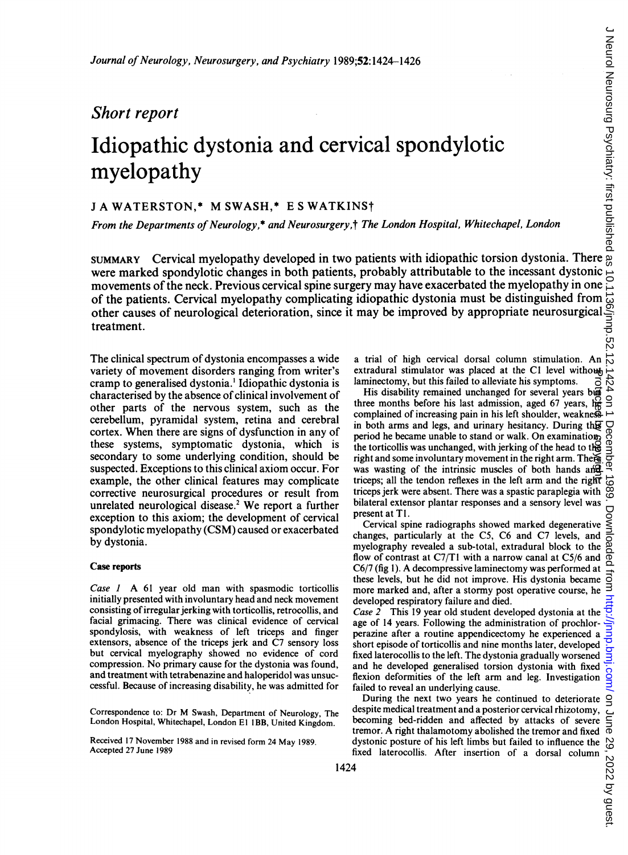## Short report

# Idiopathic dystonia and cervical spondylotic myelopathy Journal of Neurology, Neurosurgery, and Psychiatry 1989;52:1424-1426<br>
Short report<br>
Short report<br>
Short report<br>
Sumplicity<br>
Sumplicity<br>
SUMMARY Cervical myelopathy developed in two patients with idiopathic torsion dystoni

### <sup>J</sup> A WATERSTON,\* M SWASH,\* <sup>E</sup> <sup>S</sup> WATKINSt

From the Departments of Neurology,\* and Neurosurgery,† The London Hospital, Whitechapel, London

were marked spondylotic changes in both patients, probably attributable to the incessant dystonic  $\overline{3}$  movements of the neck. Previous cervical spine surgery may have exacerbated the myelopathy in one  $\overline{3}$  of the movements of the neck. Previous cervical spine surgery may have exacerbated the myelopathy in one of the patients. Cervical myelopathy complicating idiopathic dystonia must be distinguished from other causes of neurological deterioration, since it may be improved by appropriate neurosurgical treatment.

The clinical spectrum of dystonia encompasses a wide variety of movement disorders ranging from writer's cramp to generalised dystonia.' Idiopathic dystonia is characterised by the absence of clinical involvement of other parts of the nervous system, such as the cerebellum, pyramidal system, retina and cerebral cortex. When there are signs of dysfunction in any of these systems, symptomatic dystonia, which is secondary to some underlying condition, should be suspected. Exceptions to this clinical axiom occur. For example, the other clinical features may complicate corrective neurosurgical procedures or result from unrelated neurological disease.<sup>2</sup> We report a further exception to this axiom; the development of cervical spondylotic myelopathy (CSM) caused or exacerbated by dystonia.

#### Case reports

Case 1 A 61 year old man with spasmodic torticollis initially presented with involuntary head and neck movement consisting of irregular jerking with torticollis, retrocollis, and facial grimacing. There was clinical evidence of cervical spondylosis, with weakness of left triceps and finger extensors, absence of the triceps jerk and C7 sensory loss but cervical myelography showed no evidence of cord compression. No primary cause for the dystonia was found, and treatment with tetrabenazine and haloperidol was unsuccessful. Because of increasing disability, he was admitted for

Correspondence to: Dr M Swash, Department of Neurology, The London Hospital, Whitechapel, London El <sup>I</sup> BB, United Kingdom.

Received <sup>17</sup> November 1988 and in revised form 24 May 1989. Accepted 27 June 1989

a trial of high cervical dorsal column stimulation. An extradural stimulator was placed at the C1 level without laminectomy, but this failed to alleviate his symptoms.

His disability remained unchanged for several years but three months before his last admission, aged 67 years, he complained of increasing pain in his left shoulder, weakness  $\rightarrow$ <br>in both arms and legs, and urinary hesitancy. During the  $\bigcirc$ <br>period he became unable to stand or walk. On examination of<br>the torticollis was unchanged, w in both arms and legs, and urinary hesitancy. During th $\overline{g}$ period he became unable to stand or walk. On examination, the torticollis was unchanged, with jerking of the head to the right and some involuntary movement in the right arm. There was wasting of the intrinsic muscles of both hands and triceps; all the tendon reflexes in the left arm and the right  $\frac{1}{\infty}$  triceps jerk were absent. There was a spastic paraplegia with  $\frac{\infty}{60}$ triceps jerk were absent. There was a spastic paraplegia with bilateral extensor plantar responses and a sensory level was present at T1. Protected by copyright.

Cervical spine radiographs showed marked degenerative changes, particularly at the C5, C6 and C7 levels, and myelography revealed a sub-total, extradural block to the flow of contrast at C7/Tl with a narrow canal at C5/6 and C6/7 (fig 1). A decompressive laminectomy was performed at these levels, but he did not improve. His dystonia became more marked and, after a stormy post operative course, he developed respiratory failure and died.

Case 2 This 19 year old student developed dystonia at the age of 14 years. Following the administration of prochlorperazine after a routine appendicectomy he experienced a short episode of torticollis and nine months later, developed fixed laterocollis to the left. The dystonia gradually worsened and he developed generalised torsion dystonia with fixed flexion deformities of the left arm and leg. Investigation failed to reveal an underlying cause.

During the next two years he continued to deteriorate despite medical treatment and a posterior cervical rhizotomy, becoming bed-ridden and affected by attacks of severe tremor. A right thalamotomy abolished the tremor and fixed dystonic posture of his left limbs but failed to influence the fixed laterocollis. After insertion of a dorsal column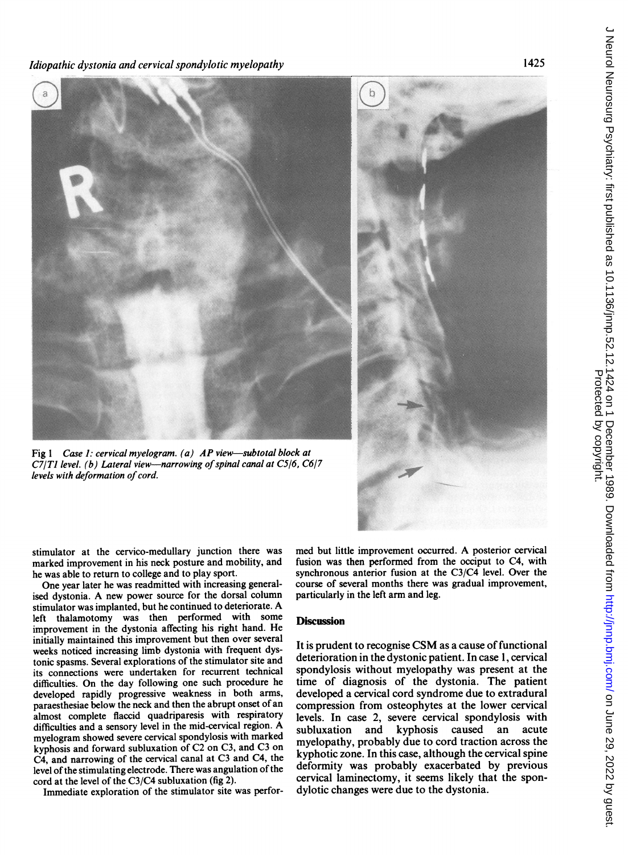

Fig 1 Case 1: cervical myelogram. (a) AP view-subtotal block at  $C7/T1$  level. (b) Lateral view--narrowing of spinal canal at  $C5/6$ ,  $C6/7$ levels with deformation of cord.



stimulator at the cervico-medullary junction there was marked improvement in his neck posture and mobility, and he was able to return to college and to play sport.

One year later he was readmitted with increasing generalised dystonia. A new power source for the dorsal column stimulator was implanted, but he continued to deteriorate. A left thalamotomy was then performed with some improvement in the dystonia affecting his right hand. He initially maintained this improvement but then over several weeks noticed increasing limb dystonia with frequent dystonic spasms. Several explorations of the stimulator site and its connections were undertaken for recurrent technical difficulties. On the day following one such procedure he developed rapidly progressive weakness in both arms, paraesthesiae below the neck and then the abrupt onset of an almost complete flaccid quadriparesis with respiratory difficulties and <sup>a</sup> sensory level in the mid-cervical region. A myelogram showed severe cervical spondylosis with marked kyphosis and forward subluxation of C2 on C3, and C3 on C4, and narrowing of the cervical canal at C3 and C4, the level of the stimulating electrode. There was angulation of the cord at the level of the C3/C4 subluxation (fig 2).

Immediate exploration of the stimulator site was perfor-

med but little improvement occurred. A posterior cervical fusion was then performed from the occiput to C4, with synchronous anterior fusion at the C3/C4 level. Over the course of several months there was gradual improvement, particularly in the left arm and leg.

#### **Discussion**

It is prudent to recognise CSM as <sup>a</sup> cause of functional deterioration in the dystonic patient. In case 1, cervical spondylosis without myelopathy was present at the time of diagnosis of the dystonia. The patient developed a cervical cord syndrome due to extradural compression from osteophytes at the lower cervical levels. In case 2, severe cervical spondylosis with subluxation and kyphosis caused an acute myelopathy, probably due to cord traction across the kyphotic zone. In this case, although the cervical spine deformity was probably exacerbated by previous cervical laminectomy, it seems likely that the spondylotic changes were due to the dystonia.